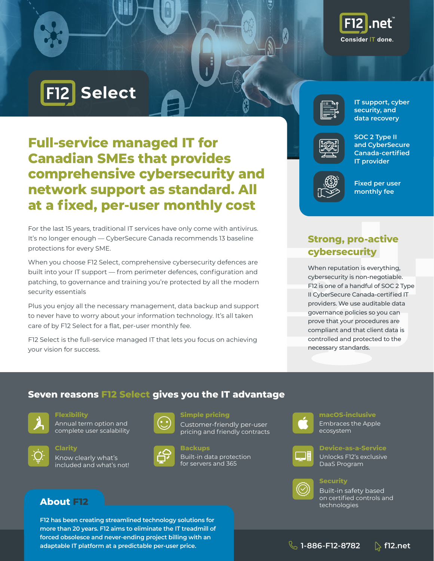



# **Full-service managed IT for Canadian SMEs that provides comprehensive cybersecurity and network support as standard. All at a fixed, per-user monthly cost**

For the last 15 years, traditional IT services have only come with antivirus. It's no longer enough — CyberSecure Canada recommends 13 baseline protections for every SME.

When you choose F12 Select, comprehensive cybersecurity defences are built into your IT support — from perimeter defences, configuration and patching, to governance and training you're protected by all the modern security essentials

Plus you enjoy all the necessary management, data backup and support to never have to worry about your information technology. It's all taken care of by F12 Select for a flat, per-user monthly fee.

F12 Select is the full-service managed IT that lets you focus on achieving your vision for success.



**IT support, cyber security, and data recovery** 



| SOC 2 Type II      |
|--------------------|
| and CyberSecure    |
| Canada-certified   |
| <b>IT provider</b> |



**Fixed per user monthly fee**

# **Strong, pro-active cybersecurity**

When reputation is everything, cybersecurity is non-negotiable. F12 is one of a handful of SOC 2 Type II CyberSecure Canada-certified IT providers. We use auditable data governance policies so you can prove that your procedures are compliant and that client data is controlled and protected to the necessary standards.

## **Seven reasons F12 Select gives you the IT advantage**



**Flexibility**

Annual term option and complete user scalability



**Clarity**

Know clearly what's included and what's not!



**Simple pricing**

Customer-friendly per-user pricing and friendly contracts



**Backups** Built-in data protection for servers and 365



#### **macOS-inclusive** Embraces the Apple ecosystem

### **Device-as-a-Service**

Unlocks F12's exclusive DaaS Program



#### **Security**

Built-in safety based on certified controls and technologies

### **About F12**

**F12 has been creating streamlined technology solutions for more than 20 years. F12 aims to eliminate the IT treadmill of forced obsolesce and never-ending project billing with an adaptable IT platform at a predictable per-user price.**

**1-886-F12-8782 f12.net**